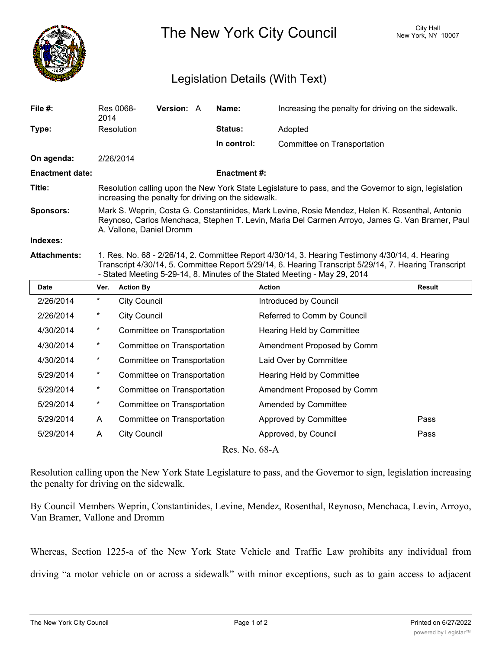

The New York City Council New York, NY 10007

## Legislation Details (With Text)

| File #:                | Res 0068-<br>2014                                                                                                                                                                                                                                                                     | <b>Version: A</b> |  | Name:              | Increasing the penalty for driving on the sidewalk. |        |  |
|------------------------|---------------------------------------------------------------------------------------------------------------------------------------------------------------------------------------------------------------------------------------------------------------------------------------|-------------------|--|--------------------|-----------------------------------------------------|--------|--|
| Type:                  | Resolution                                                                                                                                                                                                                                                                            |                   |  | <b>Status:</b>     | Adopted                                             |        |  |
|                        |                                                                                                                                                                                                                                                                                       |                   |  | In control:        | Committee on Transportation                         |        |  |
| On agenda:             | 2/26/2014                                                                                                                                                                                                                                                                             |                   |  |                    |                                                     |        |  |
| <b>Enactment date:</b> |                                                                                                                                                                                                                                                                                       |                   |  | <b>Enactment#:</b> |                                                     |        |  |
| Title:                 | Resolution calling upon the New York State Legislature to pass, and the Governor to sign, legislation<br>increasing the penalty for driving on the sidewalk.                                                                                                                          |                   |  |                    |                                                     |        |  |
| <b>Sponsors:</b>       | Mark S. Weprin, Costa G. Constantinides, Mark Levine, Rosie Mendez, Helen K. Rosenthal, Antonio<br>Reynoso, Carlos Menchaca, Stephen T. Levin, Maria Del Carmen Arroyo, James G. Van Bramer, Paul<br>A. Vallone, Daniel Dromm                                                         |                   |  |                    |                                                     |        |  |
| Indexes:               |                                                                                                                                                                                                                                                                                       |                   |  |                    |                                                     |        |  |
| <b>Attachments:</b>    | 1. Res. No. 68 - 2/26/14, 2. Committee Report 4/30/14, 3. Hearing Testimony 4/30/14, 4. Hearing<br>Transcript 4/30/14, 5. Committee Report 5/29/14, 6. Hearing Transcript 5/29/14, 7. Hearing Transcript<br>- Stated Meeting 5-29-14, 8. Minutes of the Stated Meeting - May 29, 2014 |                   |  |                    |                                                     |        |  |
| Date                   | <b>Action By</b><br>Ver.                                                                                                                                                                                                                                                              |                   |  |                    | <b>Action</b>                                       | Result |  |
| 2/26/2014              | $^\star$<br><b>City Council</b>                                                                                                                                                                                                                                                       |                   |  |                    | Introduced by Council                               |        |  |
|                        |                                                                                                                                                                                                                                                                                       |                   |  |                    |                                                     |        |  |

| 2/26/2014 | $^\star$ | <b>City Council</b>         | Referred to Comm by Council |      |
|-----------|----------|-----------------------------|-----------------------------|------|
| 4/30/2014 | *        | Committee on Transportation | Hearing Held by Committee   |      |
| 4/30/2014 | *        | Committee on Transportation | Amendment Proposed by Comm  |      |
| 4/30/2014 | *        | Committee on Transportation | Laid Over by Committee      |      |
| 5/29/2014 | $^\star$ | Committee on Transportation | Hearing Held by Committee   |      |
| 5/29/2014 | $^\star$ | Committee on Transportation | Amendment Proposed by Comm  |      |
| 5/29/2014 | *        | Committee on Transportation | Amended by Committee        |      |
| 5/29/2014 | A        | Committee on Transportation | Approved by Committee       | Pass |
| 5/29/2014 | A        | <b>City Council</b>         | Approved, by Council        | Pass |
|           |          |                             |                             |      |

Res. No. 68-A

Resolution calling upon the New York State Legislature to pass, and the Governor to sign, legislation increasing the penalty for driving on the sidewalk.

By Council Members Weprin, Constantinides, Levine, Mendez, Rosenthal, Reynoso, Menchaca, Levin, Arroyo, Van Bramer, Vallone and Dromm

Whereas, Section 1225-a of the New York State Vehicle and Traffic Law prohibits any individual from driving "a motor vehicle on or across a sidewalk" with minor exceptions, such as to gain access to adjacent